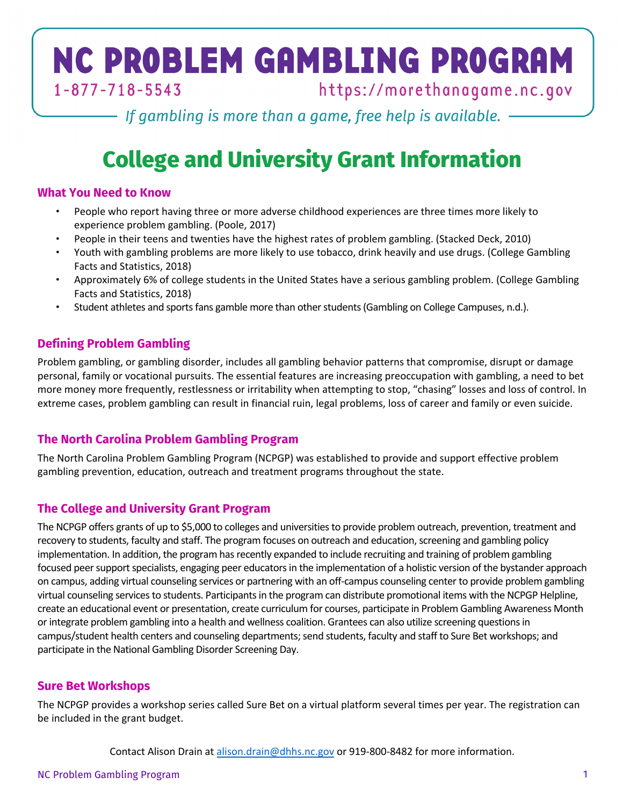## NC PROBLEM GAMBLING PROGRAM  $1 - 877 - 718 - 5543$

https://morethanagame.nc.gov

If gambling is more than a game, free help is available.

## **College and University Grant Information**

## **What You Need to Know**

- People who report having three or more adverse childhood experiences are three times more likely to experience problem gambling. (Poole, 2017)
- People in their teens and twenties have the highest rates of problem gambling. (Stacked Deck, 2010)
- Youth with gambling problems are more likely to use tobacco, drink heavily and use drugs. (College Gambling Facts and Statistics, 2018)
- Approximately 6% of college students in the United States have a serious gambling problem. (College Gambling Facts and Statistics, 2018)
- Student athletes and sports fans gamble more than other students(Gambling on College Campuses, n.d.).

## **Defining Problem Gambling**

Problem gambling, or gambling disorder, includes all gambling behavior patterns that compromise, disrupt or damage personal, family or vocational pursuits. The essential features are increasing preoccupation with gambling, a need to bet more money more frequently, restlessness or irritability when attempting to stop, "chasing" losses and loss of control. In extreme cases, problem gambling can result in financial ruin, legal problems, loss of career and family or even suicide.

## **The North Carolina Problem Gambling Program**

The North Carolina Problem Gambling Program (NCPGP) was established to provide and support effective problem gambling prevention, education, outreach and treatment programs throughout the state.

## **The College and University Grant Program**

The NCPGP offers grants of up to \$5,000 to colleges and universities to provide problem outreach, prevention, treatment and recovery to students, faculty and staff. The program focuses on outreach and education, screening and gambling policy implementation. In addition, the program has recently expanded to include recruiting and training of problem gambling focused peer support specialists, engaging peer educators in the implementation of a holistic version of the bystander approach on campus, adding virtual counseling services or partnering with an off-campus counseling center to provide problem gambling virtual counseling services to students. Participants in the program can distribute promotional items with the NCPGP Helpline, create an educational event or presentation, create curriculum for courses, participate in Problem Gambling Awareness Month or integrate problem gambling into a health and wellness coalition. Grantees can also utilize screening questions in campus/student health centers and counseling departments; send students, faculty and staff to Sure Bet workshops; and participate in the National Gambling Disorder Screening Day.

### **Sure Bet Workshops**

The NCPGP provides a workshop series called Sure Bet on a virtual platform several times per year. The registration can be included in the grant budget.

Contact Alison Drain at alison.drain@dhhs.nc.gov or 919-800-8482 for more information.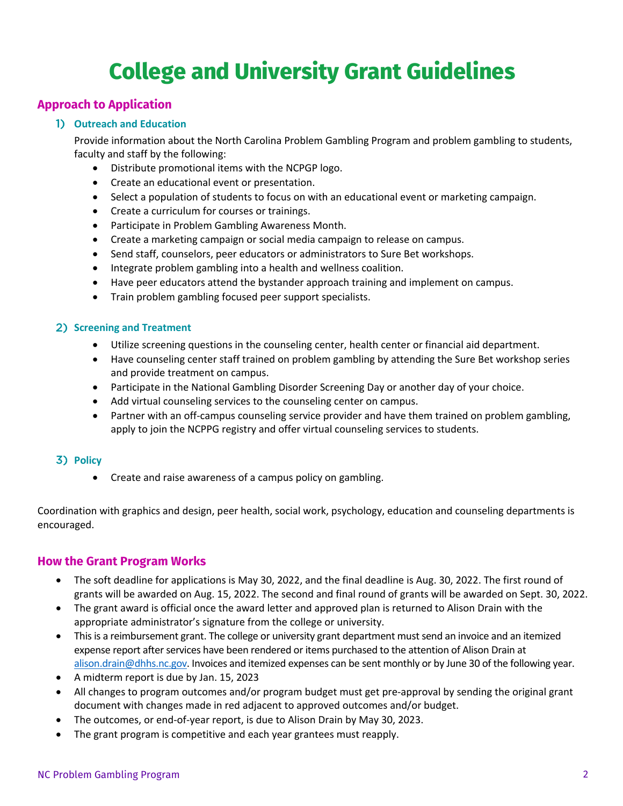# **College and University Grant Guidelines**

## **Approach to Application**

### 1) **Outreach and Education**

Provide information about the North Carolina Problem Gambling Program and problem gambling to students, faculty and staff by the following:

- Distribute promotional items with the NCPGP logo.
- Create an educational event or presentation.
- Select a population of students to focus on with an educational event or marketing campaign.
- Create a curriculum for courses or trainings.
- Participate in Problem Gambling Awareness Month.
- Create a marketing campaign or social media campaign to release on campus.
- Send staff, counselors, peer educators or administrators to Sure Bet workshops.
- Integrate problem gambling into a health and wellness coalition.
- Have peer educators attend the bystander approach training and implement on campus.
- Train problem gambling focused peer support specialists.

#### 2) **Screening and Treatment**

- Utilize screening questions in the counseling center, health center or financial aid department.
- Have counseling center staff trained on problem gambling by attending the Sure Bet workshop series and provide treatment on campus.
- Participate in the National Gambling Disorder Screening Day or another day of your choice.
- Add virtual counseling services to the counseling center on campus.
- Partner with an off-campus counseling service provider and have them trained on problem gambling, apply to join the NCPPG registry and offer virtual counseling services to students.

#### 3) **Policy**

• Create and raise awareness of a campus policy on gambling.

Coordination with graphics and design, peer health, social work, psychology, education and counseling departments is encouraged.

### **How the Grant Program Works**

- The soft deadline for applications is May 30, 2022, and the final deadline is Aug. 30, 2022. The first round of grants will be awarded on Aug. 15, 2022. The second and final round of grants will be awarded on Sept. 30, 2022.
- The grant award is official once the award letter and approved plan is returned to Alison Drain with the appropriate administrator's signature from the college or university.
- This is a reimbursement grant. The college or university grant department must send an invoice and an itemized expense report after services have been rendered or items purchased to the attention of Alison Drain at alison.drain@dhhs.nc.gov. Invoices and itemized expenses can be sent monthly or by June 30 of the following year.
- A midterm report is due by Jan. 15, 2023
- All changes to program outcomes and/or program budget must get pre-approval by sending the original grant document with changes made in red adjacent to approved outcomes and/or budget.
- The outcomes, or end-of-year report, is due to Alison Drain by May 30, 2023.
- The grant program is competitive and each year grantees must reapply.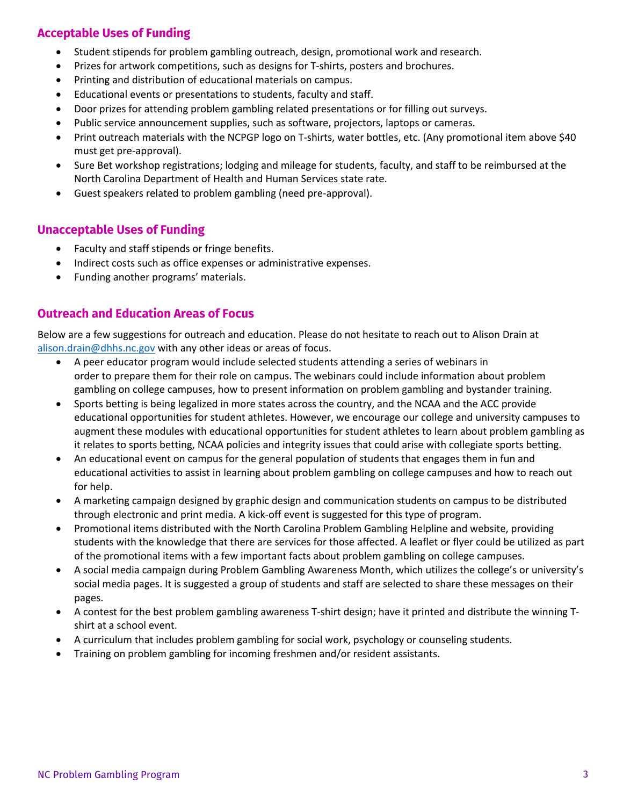## **Acceptable Uses of Funding**

- Student stipends for problem gambling outreach, design, promotional work and research.
- Prizes for artwork competitions, such as designs for T-shirts, posters and brochures.
- Printing and distribution of educational materials on campus.
- Educational events or presentations to students, faculty and staff.
- Door prizes for attending problem gambling related presentations or for filling out surveys.
- Public service announcement supplies, such as software, projectors, laptops or cameras.
- Print outreach materials with the NCPGP logo on T-shirts, water bottles, etc. (Any promotional item above \$40 must get pre-approval).
- Sure Bet workshop registrations; lodging and mileage for students, faculty, and staff to be reimbursed at the North Carolina Department of Health and Human Services state rate.
- Guest speakers related to problem gambling (need pre-approval).

### **Unacceptable Uses of Funding**

- Faculty and staff stipends or fringe benefits.
- Indirect costs such as office expenses or administrative expenses.
- Funding another programs' materials.

## **Outreach and Education Areas of Focus**

Below are a few suggestions for outreach and education. Please do not hesitate to reach out to Alison Drain at alison.drain@dhhs.nc.gov with any other ideas or areas of focus.

- A peer educator program would include selected students attending a series of webinars in order to prepare them for their role on campus. The webinars could include information about problem gambling on college campuses, how to present information on problem gambling and bystander training.
- Sports betting is being legalized in more states across the country, and the NCAA and the ACC provide educational opportunities for student athletes. However, we encourage our college and university campuses to augment these modules with educational opportunities for student athletes to learn about problem gambling as it relates to sports betting, NCAA policies and integrity issues that could arise with collegiate sports betting.
- An educational event on campus for the general population of students that engages them in fun and educational activities to assist in learning about problem gambling on college campuses and how to reach out for help.
- A marketing campaign designed by graphic design and communication students on campus to be distributed through electronic and print media. A kick-off event is suggested for this type of program.
- Promotional items distributed with the North Carolina Problem Gambling Helpline and website, providing students with the knowledge that there are services for those affected. A leaflet or flyer could be utilized as part of the promotional items with a few important facts about problem gambling on college campuses.
- A social media campaign during Problem Gambling Awareness Month, which utilizes the college's or university's social media pages. It is suggested a group of students and staff are selected to share these messages on their pages.
- A contest for the best problem gambling awareness T-shirt design; have it printed and distribute the winning Tshirt at a school event.
- A curriculum that includes problem gambling for social work, psychology or counseling students.
- Training on problem gambling for incoming freshmen and/or resident assistants.